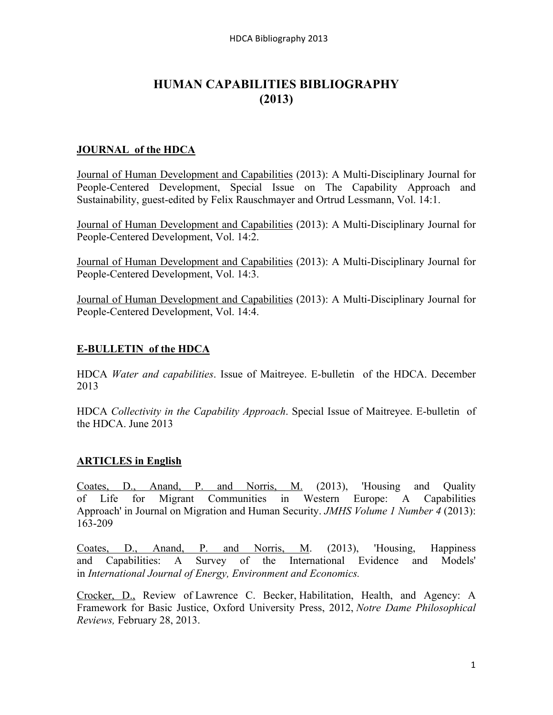# **HUMAN CAPABILITIES BIBLIOGRAPHY (2013)**

## **JOURNAL of the HDCA**

Journal of Human Development and Capabilities (2013): A Multi-Disciplinary Journal for People-Centered Development, Special Issue on The Capability Approach and Sustainability, guest-edited by Felix Rauschmayer and Ortrud Lessmann, Vol. 14:1.

Journal of Human Development and Capabilities (2013): A Multi-Disciplinary Journal for People-Centered Development, Vol. 14:2.

Journal of Human Development and Capabilities (2013): A Multi-Disciplinary Journal for People-Centered Development, Vol. 14:3.

Journal of Human Development and Capabilities (2013): A Multi-Disciplinary Journal for People-Centered Development, Vol. 14:4.

## **E-BULLETIN of the HDCA**

HDCA *Water and capabilities*. Issue of Maitreyee. E-bulletin of the HDCA. December 2013

HDCA *Collectivity in the Capability Approach*. Special Issue of Maitreyee. E-bulletin of the HDCA. June 2013

# **ARTICLES in English**

Coates, D., Anand, P. and Norris, M. (2013), 'Housing and Quality of Life for Migrant Communities in Western Europe: A Capabilities Approach' in Journal on Migration and Human Security. *JMHS Volume 1 Number 4* (2013): 163-209

Coates, D., Anand, P. and Norris, M. (2013), 'Housing, Happiness and Capabilities: A Survey of the International Evidence and Models' in *International Journal of Energy, Environment and Economics.*

Crocker, D., Review of Lawrence C. Becker, Habilitation, Health, and Agency: A Framework for Basic Justice, Oxford University Press, 2012, *Notre Dame Philosophical Reviews,* February 28, 2013.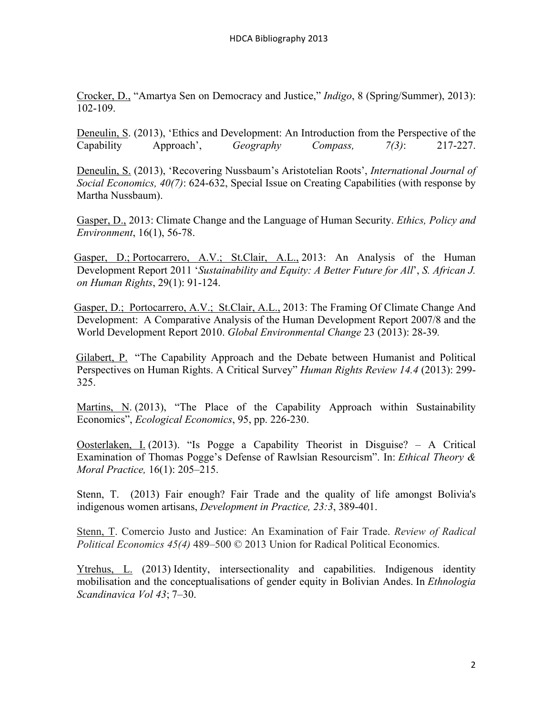Crocker, D., "Amartya Sen on Democracy and Justice," *Indigo*, 8 (Spring/Summer), 2013): 102-109.

Deneulin, S. (2013), 'Ethics and Development: An Introduction from the Perspective of the Capability Approach', *Geography Compass, 7(3)*: 217-227.

Deneulin, S. (2013), 'Recovering Nussbaum's Aristotelian Roots', *International Journal of Social Economics, 40(7)*: 624-632, Special Issue on Creating Capabilities (with response by Martha Nussbaum).

 Gasper, D., 2013: Climate Change and the Language of Human Security. *Ethics, Policy and Environment*, 16(1), 56-78.

Gasper, D.; Portocarrero, A.V.; St.Clair, A.L., 2013: An Analysis of the Human Development Report 2011 '*Sustainability and Equity: A Better Future for All*', *S. African J. on Human Rights*, 29(1): 91-124.

 Gasper, D.; Portocarrero, A.V.; St.Clair, A.L., 2013: The Framing Of Climate Change And Development: A Comparative Analysis of the Human Development Report 2007/8 and the World Development Report 2010. *Global Environmental Change* 23 (2013): 28-39*.*

Gilabert, P. "The Capability Approach and the Debate between Humanist and Political Perspectives on Human Rights. A Critical Survey" *Human Rights Review 14.4* (2013): 299- 325.

Martins, N. (2013), "The Place of the Capability Approach within Sustainability Economics", *Ecological Economics*, 95, pp. 226-230.

Oosterlaken, I. (2013). "Is Pogge a Capability Theorist in Disguise? – A Critical Examination of Thomas Pogge's Defense of Rawlsian Resourcism". In: *Ethical Theory & Moral Practice,* 16(1): 205–215.

Stenn, T. (2013) Fair enough? Fair Trade and the quality of life amongst Bolivia's indigenous women artisans, *Development in Practice, 23:3*, 389-401.

Stenn, T. Comercio Justo and Justice: An Examination of Fair Trade. *Review of Radical Political Economics 45(4)* 489–500 © 2013 Union for Radical Political Economics.

Ytrehus, L. (2013) Identity, intersectionality and capabilities. Indigenous identity mobilisation and the conceptualisations of gender equity in Bolivian Andes. In *Ethnologia Scandinavica Vol 43*; 7–30.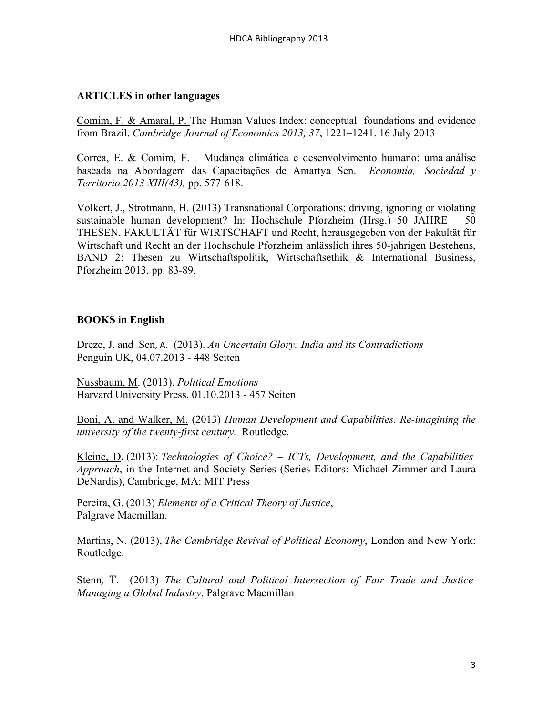## **ARTICLES in other languages**

Comim, F. & Amaral, P. The Human Values Index: conceptual foundations and evidence from Brazil. *Cambridge Journal of Economics 2013, 37*, 1221–1241. 16 July 2013

Correa, E. & Comim, F. Mudança climática e desenvolvimento humano: uma análise baseada na Abordagem das Capacitações de Amartya Sen. *Economía, Sociedad y Territorio 2013 XIII(43),* pp. 577-618.

Volkert, J., Strotmann, H. (2013) Transnational Corporations: driving, ignoring or violating sustainable human development? In: Hochschule Pforzheim (Hrsg.) 50 JAHRE – 50 THESEN. FAKULTÄT für WIRTSCHAFT und Recht, herausgegeben von der Fakultät für Wirtschaft und Recht an der Hochschule Pforzheim anlässlich ihres 50-jahrigen Bestehens, BAND 2: Thesen zu Wirtschaftspolitik, Wirtschaftsethik & International Business, Pforzheim 2013, pp. 83-89.

#### **BOOKS in English**

Dreze, J. and Sen,!A. (2013). *An Uncertain Glory: India and its Contradictions* Penguin UK, 04.07.2013 - 448 Seiten

Nussbaum, M. (2013). *Political Emotions* Harvard University Press, 01.10.2013 - 457 Seiten

Boni, A. and Walker, M. (2013) *Human Development and Capabilities. Re-imagining the university of the twenty-first century.* Routledge.

Kleine, D**.** (2013): *Technologies of Choice? – ICTs, Development, and the Capabilities Approach*, in the Internet and Society Series (Series Editors: Michael Zimmer and Laura DeNardis), Cambridge, MA: MIT Press

Pereira, G. (2013) *Elements of a Critical Theory of Justice*, Palgrave Macmillan.

Martins, N. (2013), *The Cambridge Revival of Political Economy*, London and New York: Routledge.

**Stenn, T.** (2013) *The Cultural and Political Intersection of Fair Trade and Justice Managing a Global Industry*. Palgrave Macmillan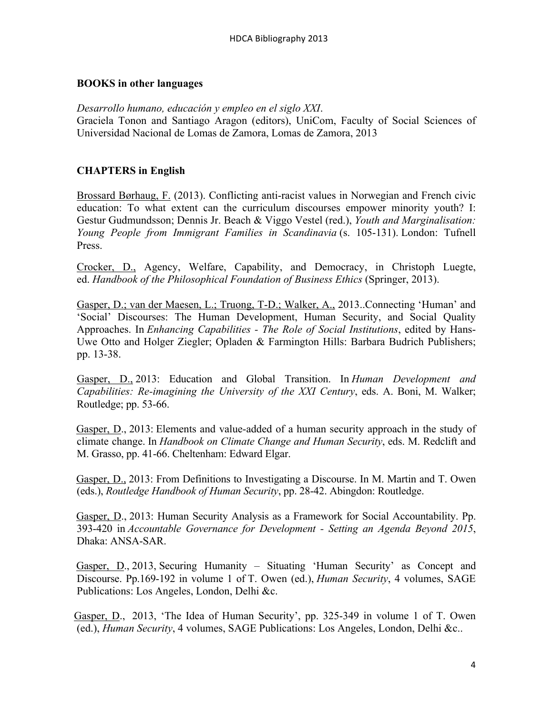#### **BOOKS in other languages**

*Desarrollo humano, educación y empleo en el siglo XXI*. Graciela Tonon and Santiago Aragon (editors), UniCom, Faculty of Social Sciences of Universidad Nacional de Lomas de Zamora, Lomas de Zamora, 2013

## **CHAPTERS in English**

Brossard Børhaug, F. (2013). Conflicting anti-racist values in Norwegian and French civic education: To what extent can the curriculum discourses empower minority youth? I: Gestur Gudmundsson; Dennis Jr. Beach & Viggo Vestel (red.), *Youth and Marginalisation: Young People from Immigrant Families in Scandinavia* (s. 105-131). London: Tufnell Press.

Crocker, D., Agency, Welfare, Capability, and Democracy, in Christoph Luegte, ed. *Handbook of the Philosophical Foundation of Business Ethics* (Springer, 2013).

Gasper, D.; van der Maesen, L.; Truong, T-D.; Walker, A., 2013..Connecting 'Human' and 'Social' Discourses: The Human Development, Human Security, and Social Quality Approaches. In *Enhancing Capabilities - The Role of Social Institutions*, edited by Hans-Uwe Otto and Holger Ziegler; Opladen & Farmington Hills: Barbara Budrich Publishers; pp. 13-38.

 Gasper, D., 2013: Education and Global Transition. In *Human Development and Capabilities: Re-imagining the University of the XXI Century*, eds. A. Boni, M. Walker; Routledge; pp. 53-66.

 Gasper, D., 2013: Elements and value-added of a human security approach in the study of climate change. In *Handbook on Climate Change and Human Security*, eds. M. Redclift and M. Grasso, pp. 41-66. Cheltenham: Edward Elgar.

 Gasper, D., 2013: From Definitions to Investigating a Discourse. In M. Martin and T. Owen (eds.), *Routledge Handbook of Human Security*, pp. 28-42. Abingdon: Routledge.

 Gasper, D., 2013: Human Security Analysis as a Framework for Social Accountability. Pp. 393-420 in *Accountable Governance for Development - Setting an Agenda Beyond 2015*, Dhaka: ANSA-SAR.

 Gasper, D., 2013, Securing Humanity – Situating 'Human Security' as Concept and Discourse. Pp.169-192 in volume 1 of T. Owen (ed.), *Human Security*, 4 volumes, SAGE Publications: Los Angeles, London, Delhi &c.

 Gasper, D., 2013, 'The Idea of Human Security', pp. 325-349 in volume 1 of T. Owen (ed.), *Human Security*, 4 volumes, SAGE Publications: Los Angeles, London, Delhi &c..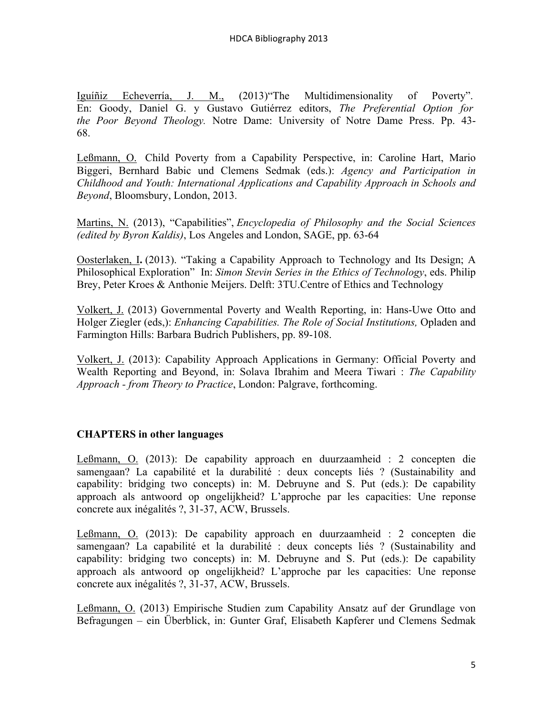Iguíñiz Echeverría, J. M., (2013)"The Multidimensionality of Poverty". En: Goody, Daniel G. y Gustavo Gutiérrez editors, *The Preferential Option for the Poor Beyond Theology.* Notre Dame: University of Notre Dame Press. Pp. 43- 68.

Leßmann, O. Child Poverty from a Capability Perspective, in: Caroline Hart, Mario Biggeri, Bernhard Babic und Clemens Sedmak (eds.): *Agency and Participation in Childhood and Youth: International Applications and Capability Approach in Schools and Beyond*, Bloomsbury, London, 2013.

Martins, N. (2013), "Capabilities", *Encyclopedia of Philosophy and the Social Sciences (edited by Byron Kaldis)*, Los Angeles and London, SAGE, pp. 63-64

Oosterlaken, I**.** (2013). "Taking a Capability Approach to Technology and Its Design; A Philosophical Exploration" In: *Simon Stevin Series in the Ethics of Technology*, eds. Philip Brey, Peter Kroes & Anthonie Meijers. Delft: 3TU.Centre of Ethics and Technology

Volkert, J. (2013) Governmental Poverty and Wealth Reporting, in: Hans-Uwe Otto and Holger Ziegler (eds,): *Enhancing Capabilities. The Role of Social Institutions,* Opladen and Farmington Hills: Barbara Budrich Publishers, pp. 89-108.

Volkert, J. (2013): Capability Approach Applications in Germany: Official Poverty and Wealth Reporting and Beyond, in: Solava Ibrahim and Meera Tiwari : *The Capability Approach - from Theory to Practice*, London: Palgrave, forthcoming.

# **CHAPTERS in other languages**

Leßmann, O. (2013): De capability approach en duurzaamheid : 2 concepten die samengaan? La capabilité et la durabilité : deux concepts liés ? (Sustainability and capability: bridging two concepts) in: M. Debruyne and S. Put (eds.): De capability approach als antwoord op ongelijkheid? L'approche par les capacities: Une reponse concrete aux inégalités ?, 31-37, ACW, Brussels.

Leßmann, O. (2013): De capability approach en duurzaamheid : 2 concepten die samengaan? La capabilité et la durabilité : deux concepts liés ? (Sustainability and capability: bridging two concepts) in: M. Debruyne and S. Put (eds.): De capability approach als antwoord op ongelijkheid? L'approche par les capacities: Une reponse concrete aux inégalités ?, 31-37, ACW, Brussels.

Leßmann, O. (2013) Empirische Studien zum Capability Ansatz auf der Grundlage von Befragungen – ein Überblick, in: Gunter Graf, Elisabeth Kapferer und Clemens Sedmak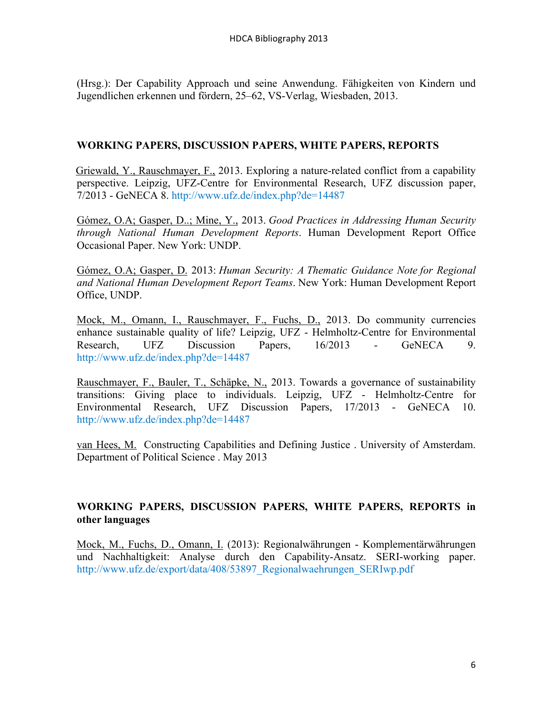(Hrsg.): Der Capability Approach und seine Anwendung. Fähigkeiten von Kindern und Jugendlichen erkennen und fördern, 25–62, VS-Verlag, Wiesbaden, 2013.

## **WORKING PAPERS, DISCUSSION PAPERS, WHITE PAPERS, REPORTS**

 Griewald, Y., Rauschmayer, F., 2013. Exploring a nature-related conflict from a capability perspective. Leipzig, UFZ-Centre for Environmental Research, UFZ discussion paper, 7/2013 - GeNECA 8. http://www.ufz.de/index.php?de=14487

 Gómez, O.A; Gasper, D..; Mine, Y., 2013. *Good Practices in Addressing Human Security through National Human Development Reports*. Human Development Report Office Occasional Paper. New York: UNDP.

 Gómez, O.A; Gasper, D. 2013: *Human Security: A Thematic Guidance Note for Regional and National Human Development Report Teams*. New York: Human Development Report Office, UNDP.

Mock, M., Omann, I., Rauschmayer, F., Fuchs, D., 2013. Do community currencies enhance sustainable quality of life? Leipzig, UFZ - Helmholtz-Centre for Environmental Research, UFZ Discussion Papers, 16/2013 - GeNECA 9. http://www.ufz.de/index.php?de=14487

Rauschmayer, F., Bauler, T., Schäpke, N., 2013. Towards a governance of sustainability transitions: Giving place to individuals. Leipzig, UFZ - Helmholtz-Centre for Environmental Research, UFZ Discussion Papers, 17/2013 - GeNECA 10. http://www.ufz.de/index.php?de=14487

van Hees, M. Constructing Capabilities and Defining Justice . University of Amsterdam. Department of Political Science . May 2013

## **WORKING PAPERS, DISCUSSION PAPERS, WHITE PAPERS, REPORTS in other languages**

Mock, M., Fuchs, D., Omann, I. (2013): Regionalwährungen - Komplementärwährungen und Nachhaltigkeit: Analyse durch den Capability-Ansatz. SERI-working paper. http://www.ufz.de/export/data/408/53897\_Regionalwaehrungen\_SERIwp.pdf